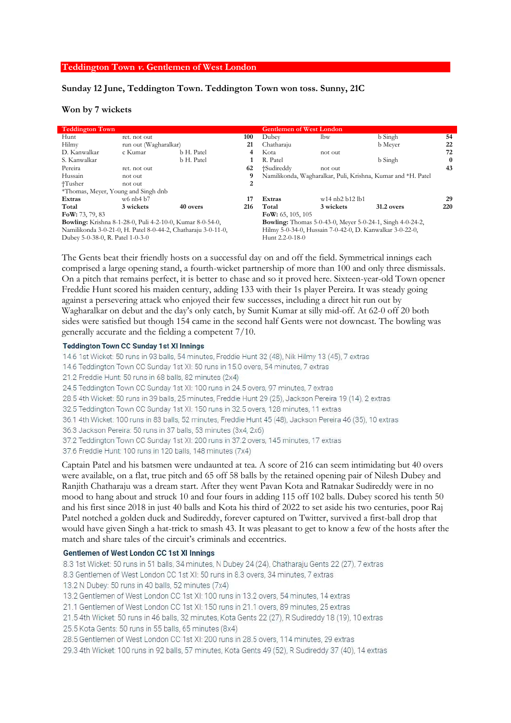#### **Teddington Town v. Gentlemen of West London**

# Sunday 12 June, Teddington Town. Teddington Town won toss. Sunny, 21C

## Won by 7 wickets

| <b>Teddington Town</b>                                           |                       |            |                                                                  | <b>Gentlemen of West London</b>                              |                   |            |     |
|------------------------------------------------------------------|-----------------------|------------|------------------------------------------------------------------|--------------------------------------------------------------|-------------------|------------|-----|
| Hunt                                                             | ret. not out          |            | 100                                                              | Dubey                                                        | lbw               | b Singh    | 54  |
| Hilmy                                                            | run out (Wagharalkar) |            | 21                                                               | Chatharaju                                                   |                   | b Meyer    | 22  |
| D. Kanwalkar                                                     | c Kumar               | b H. Patel | 4                                                                | Kota                                                         | not out           |            | 72  |
| S. Kanwalkar                                                     |                       | b H. Patel |                                                                  | R. Patel                                                     |                   | b Singh    | 0   |
| Pereira                                                          | ret. not out          |            | 62                                                               | +Sudireddy                                                   | not out           |            | 43  |
| Hussain                                                          | not out               |            | 9                                                                | Namilikonda, Wagharalkar, Puli, Krishna, Kumar and *H. Patel |                   |            |     |
| †Tusher                                                          | not out               |            | 2                                                                |                                                              |                   |            |     |
| *Thomas, Meyer, Young and Singh dnb                              |                       |            |                                                                  |                                                              |                   |            |     |
| Extras                                                           | $w6$ nb4 b7           |            | 17                                                               | Extras                                                       | $w14$ nb2 b12 lb1 |            | 29  |
| Total                                                            | 3 wickets             | 40 overs   | 216                                                              | Total                                                        | 3 wickets         | 31.2 overs | 220 |
| FoW: $73, 79, 83$                                                |                       |            |                                                                  | FoW: $65, 105, 105$                                          |                   |            |     |
| <b>Bowling:</b> Krishna 8-1-28-0, Puli 4-2-10-0, Kumar 8-0-54-0, |                       |            | <b>Bowling:</b> Thomas 5-0-43-0, Meyer 5-0-24-1, Singh 4-0-24-2, |                                                              |                   |            |     |
| Namilikonda 3-0-21-0, H. Patel 8-0-44-2, Chatharaju 3-0-11-0,    |                       |            |                                                                  | Hilmy 5-0-34-0, Hussain 7-0-42-0, D. Kanwalkar 3-0-22-0,     |                   |            |     |
| Dubey 5-0-38-0, R. Patel 1-0-3-0                                 |                       |            |                                                                  | Hunt $2.2 - 0 - 18 - 0$                                      |                   |            |     |

The Gents beat their friendly hosts on a successful day on and off the field. Symmetrical innings each comprised a large opening stand, a fourth-wicket partnership of more than 100 and only three dismissals. On a pitch that remains perfect, it is better to chase and so it proved here. Sixteen-year-old Town opener Freddie Hunt scored his maiden century, adding 133 with their 1s player Pereira. It was steady going against a persevering attack who enjoyed their few successes, including a direct hit run out by Wagharalkar on debut and the day's only catch, by Sumit Kumar at silly mid-off. At 62-0 off 20 both sides were satisfied but though 154 came in the second half Gents were not downcast. The bowling was generally accurate and the fielding a competent 7/10.

### **Teddington Town CC Sunday 1st XI Innings**

14.6 1st Wicket: 50 runs in 93 balls, 54 minutes, Freddie Hunt 32 (48), Nik Hilmy 13 (45), 7 extras

14.6 Teddington Town CC Sunday 1st XI: 50 runs in 15.0 overs, 54 minutes, 7 extras

21.2 Freddie Hunt: 50 runs in 68 balls, 82 minutes (2x4)

24.5 Teddington Town CC Sunday 1st XI: 100 runs in 24.5 overs, 97 minutes, 7 extras

28.5 4th Wicket: 50 runs in 39 balls, 25 minutes, Freddie Hunt 29 (25), Jackson Pereira 19 (14), 2 extras

32.5 Teddington Town CC Sunday 1st XI: 150 runs in 32.5 overs, 128 minutes, 11 extras

36.1 4th Wicket: 100 runs in 83 balls, 52 minutes, Freddie Hunt 45 (48), Jackson Pereira 46 (35), 10 extras

36.3 Jackson Pereira: 50 runs in 37 balls, 53 minutes (3x4, 2x6)

37.2 Teddington Town CC Sunday 1st XI: 200 runs in 37.2 overs, 145 minutes, 17 extras

37.6 Freddie Hunt: 100 runs in 120 balls, 148 minutes (7x4)

Captain Patel and his batsmen were undaunted at tea. A score of 216 can seem intimidating but 40 overs were available, on a flat, true pitch and 65 off 58 balls by the retained opening pair of Nilesh Dubey and Ranjith Chatharaju was a dream start. After they went Pavan Kota and Ratnakar Sudireddy were in no mood to hang about and struck 10 and four fours in adding 115 off 102 balls. Dubey scored his tenth 50 and his first since 2018 in just 40 balls and Kota his third of 2022 to set aside his two centuries, poor Raj Patel notched a golden duck and Sudireddy, forever captured on Twitter, survived a first-ball drop that would have given Singh a hat-trick to smash 43. It was pleasant to get to know a few of the hosts after the match and share tales of the circuit's criminals and eccentrics.

### Gentlemen of West London CC 1st XI Innings

8.3 1st Wicket: 50 runs in 51 balls, 34 minutes, N Dubey 24 (24), Chatharaju Gents 22 (27), 7 extras

8.3 Gentlemen of West London CC 1st XI: 50 runs in 8.3 overs, 34 minutes, 7 extras

13.2 N Dubey: 50 runs in 40 balls, 52 minutes (7x4)

13.2 Gentlemen of West London CC 1st XI: 100 runs in 13.2 overs, 54 minutes, 14 extras

21.1 Gentlemen of West London CC 1st XI: 150 runs in 21.1 overs, 89 minutes, 25 extras

21.5 4th Wicket: 50 runs in 46 balls, 32 minutes, Kota Gents 22 (27), R Sudireddy 18 (19), 10 extras

25.5 Kota Gents: 50 runs in 55 balls, 65 minutes (8x4)

28.5 Gentlemen of West London CC 1st XI: 200 runs in 28.5 overs, 114 minutes, 29 extras

29.3 4th Wicket: 100 runs in 92 balls, 57 minutes, Kota Gents 49 (52), R Sudireddy 37 (40), 14 extras